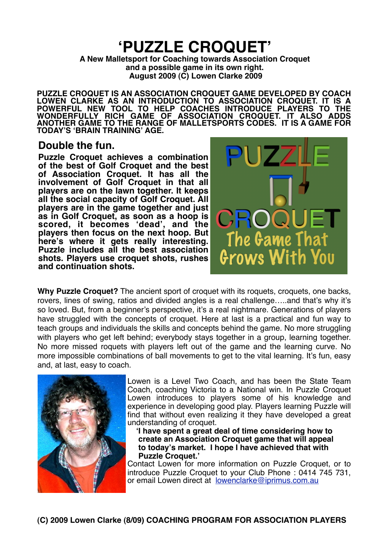# **ʻPUZZLE CROQUET'**

**A New Malletsport for Coaching towards Association Croquet and a possible game in its own right. August 2009 (C) Lowen Clarke 2009**

**PUZZLE CROQUET IS AN ASSOCIATION CROQUET GAME DEVELOPED BY COACH LOWEN CLARKE AS AN INTRODUCTION TO ASSOCIATION CROQUET. IT IS A POWERFUL NEW TOOL TO HELP COACHES INTRODUCE PLAYERS TO THE WONDERFULLY RICH GAME OF ASSOCIATION CROQUET. IT ALSO ADDS ANOTHER GAME TO THE RANGE OF MALLETSPORTS CODES. IT IS A GAME FOR TODAY'S ʻBRAIN TRAINING' AGE.**

## **Double the fun.**

**Puzzle Croquet achieves a combination of the best of Golf Croquet and the best of Association Croquet. It has all the involvement of Golf Croquet in that all players are on the lawn together. It keeps all the social capacity of Golf Croquet. All players are in the game together and just as in Golf Croquet, as soon as a hoop is scored, it becomes ʻdead', and the players then focus on the next hoop. But here's where it gets really interesting. Puzzle includes all the best association shots. Players use croquet shots, rushes and continuation shots.** 



**Why Puzzle Croquet?** The ancient sport of croquet with its roquets, croquets, one backs, rovers, lines of swing, ratios and divided angles is a real challenge…..and that's why it's so loved. But, from a beginner's perspective, it's a real nightmare. Generations of players have struggled with the concepts of croquet. Here at last is a practical and fun way to teach groups and individuals the skills and concepts behind the game. No more struggling with players who get left behind; everybody stays together in a group, learning together. No more missed roquets with players left out of the game and the learning curve. No more impossible combinations of ball movements to get to the vital learning. It's fun, easy and, at last, easy to coach.



Lowen is a Level Two Coach, and has been the State Team Coach, coaching Victoria to a National win. In Puzzle Croquet Lowen introduces to players some of his knowledge and experience in developing good play. Players learning Puzzle will find that without even realizing it they have developed a great understanding of croquet.

 **ʻI have spent a great deal of time considering how to create an Association Croquet game that will appeal to today's market. I hope I have achieved that with Puzzle Croquet.'**

Contact Lowen for more information on Puzzle Croquet, or to introduce Puzzle Croquet to your Club Phone : 0414 745 731, or email Lowen direct at [lowenclarke@iprimus.com.au](mailto:lowenclarke@iprimus.com.au)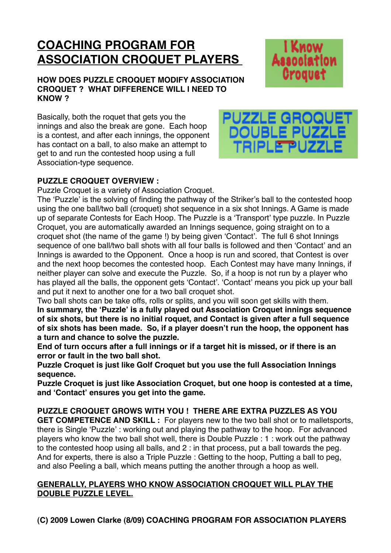## **COACHING PROGRAM FOR ASSOCIATION CROQUET PLAYERS**

#### **HOW DOES PUZZLE CROQUET MODIFY ASSOCIATION CROQUET ? WHAT DIFFERENCE WILL I NEED TO KNOW ?**

Basically, both the roquet that gets you the innings and also the break are gone. Each hoop is a contest, and after each innings, the opponent has contact on a ball, to also make an attempt to get to and run the contested hoop using a full Association-type sequence.



TRIPLETPUZZ

I Know

**Association** 

## **PUZZLE CROQUET OVERVIEW :**

Puzzle Croquet is a variety of Association Croquet.

The ʻPuzzle' is the solving of finding the pathway of the Striker's ball to the contested hoop using the one ball/two ball (croquet) shot sequence in a six shot Innings. A Game is made up of separate Contests for Each Hoop. The Puzzle is a ʻTransport' type puzzle. In Puzzle Croquet, you are automatically awarded an Innings sequence, going straight on to a croquet shot (the name of the game !) by being given ʻContact'. The full 6 shot Innings sequence of one ball/two ball shots with all four balls is followed and then ʻContact' and an Innings is awarded to the Opponent. Once a hoop is run and scored, that Contest is over and the next hoop becomes the contested hoop. Each Contest may have many Innings, if neither player can solve and execute the Puzzle. So, if a hoop is not run by a player who has played all the balls, the opponent gets ʻContact'. ʻContact' means you pick up your ball and put it next to another one for a two ball croquet shot.

Two ball shots can be take offs, rolls or splits, and you will soon get skills with them.

**In summary, the ʻPuzzle' is a fully played out Association Croquet innings sequence of six shots, but there is no initial roquet, and Contact is given after a full sequence of six shots has been made. So, if a player doesn't run the hoop, the opponent has a turn and chance to solve the puzzle.**

**End of turn occurs after a full innings or if a target hit is missed, or if there is an error or fault in the two ball shot.**

**Puzzle Croquet is just like Golf Croquet but you use the full Association Innings sequence.**

**Puzzle Croquet is just like Association Croquet, but one hoop is contested at a time, and ʻContact' ensures you get into the game.**

**PUZZLE CROQUET GROWS WITH YOU ! THERE ARE EXTRA PUZZLES AS YOU GET COMPETENCE AND SKILL :** For players new to the two ball shot or to malletsports, there is Single ʻPuzzle' : working out and playing the pathway to the hoop. For advanced players who know the two ball shot well, there is Double Puzzle : 1 : work out the pathway to the contested hoop using all balls, and 2 : in that process, put a ball towards the peg. And for experts, there is also a Triple Puzzle : Getting to the hoop, Putting a ball to peg, and also Peeling a ball, which means putting the another through a hoop as well.

#### **GENERALLY, PLAYERS WHO KNOW ASSOCIATION CROQUET WILL PLAY THE DOUBLE PUZZLE LEVEL.**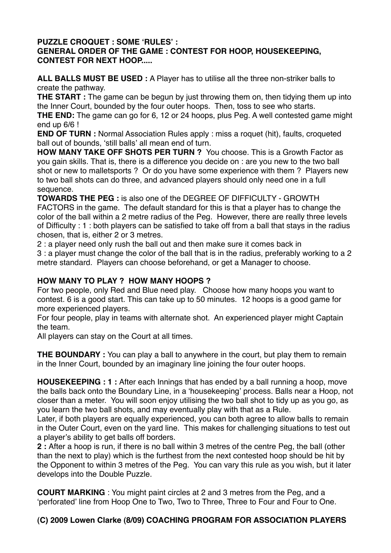#### **PUZZLE CROQUET : SOME ʻRULES' : GENERAL ORDER OF THE GAME : CONTEST FOR HOOP, HOUSEKEEPING, CONTEST FOR NEXT HOOP.....**

**ALL BALLS MUST BE USED :** A Player has to utilise all the three non-striker balls to create the pathway.

**THE START** : The game can be begun by just throwing them on, then tidying them up into the Inner Court, bounded by the four outer hoops. Then, toss to see who starts.

**THE END:** The game can go for 6, 12 or 24 hoops, plus Peg. A well contested game might end up 6/6 !

**END OF TURN :** Normal Association Rules apply : miss a roquet (hit), faults, croqueted ball out of bounds, ʻstill balls' all mean end of turn.

**HOW MANY TAKE OFF SHOTS PER TURN ?** You choose. This is a Growth Factor as you gain skills. That is, there is a difference you decide on : are you new to the two ball shot or new to malletsports ? Or do you have some experience with them ? Players new to two ball shots can do three, and advanced players should only need one in a full sequence.

**TOWARDS THE PEG :** is also one of the DEGREE OF DIFFICULTY - GROWTH FACTORS in the game. The default standard for this is that a player has to change the color of the ball within a 2 metre radius of the Peg. However, there are really three levels of Difficulty : 1 : both players can be satisfied to take off from a ball that stays in the radius chosen, that is, either 2 or 3 metres.

2 : a player need only rush the ball out and then make sure it comes back in

3 : a player must change the color of the ball that is in the radius, preferably working to a 2 metre standard. Players can choose beforehand, or get a Manager to choose.

## **HOW MANY TO PLAY ? HOW MANY HOOPS ?**

For two people, only Red and Blue need play. Choose how many hoops you want to contest. 6 is a good start. This can take up to 50 minutes. 12 hoops is a good game for more experienced players.

For four people, play in teams with alternate shot. An experienced player might Captain the team.

All players can stay on the Court at all times.

**THE BOUNDARY** : You can play a ball to anywhere in the court, but play them to remain in the Inner Court, bounded by an imaginary line joining the four outer hoops.

**HOUSEKEEPING : 1 :** After each Innings that has ended by a ball running a hoop, move the balls back onto the Boundary Line, in a ʻhousekeeping' process. Balls near a Hoop, not closer than a meter. You will soon enjoy utilising the two ball shot to tidy up as you go, as you learn the two ball shots, and may eventually play with that as a Rule.

Later, if both players are equally experienced, you can both agree to allow balls to remain in the Outer Court, even on the yard line. This makes for challenging situations to test out a player's ability to get balls off borders.

**2 :** After a hoop is run, if there is no ball within 3 metres of the centre Peg, the ball (other than the next to play) which is the furthest from the next contested hoop should be hit by the Opponent to within 3 metres of the Peg. You can vary this rule as you wish, but it later develops into the Double Puzzle.

**COURT MARKING** : You might paint circles at 2 and 3 metres from the Peg, and a ʻperforated' line from Hoop One to Two, Two to Three, Three to Four and Four to One.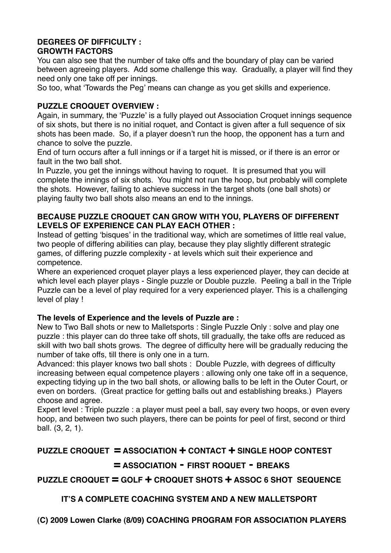#### **DEGREES OF DIFFICULTY : GROWTH FACTORS**

You can also see that the number of take offs and the boundary of play can be varied between agreeing players. Add some challenge this way. Gradually, a player will find they need only one take off per innings.

So too, what ʻTowards the Peg' means can change as you get skills and experience.

#### **PUZZLE CROQUET OVERVIEW :**

Again, in summary, the ʻPuzzle' is a fully played out Association Croquet innings sequence of six shots, but there is no initial roquet, and Contact is given after a full sequence of six shots has been made. So, if a player doesn't run the hoop, the opponent has a turn and chance to solve the puzzle.

End of turn occurs after a full innings or if a target hit is missed, or if there is an error or fault in the two ball shot.

In Puzzle, you get the innings without having to roquet. It is presumed that you will complete the innings of six shots. You might not run the hoop, but probably will complete the shots. However, failing to achieve success in the target shots (one ball shots) or playing faulty two ball shots also means an end to the innings.

#### **BECAUSE PUZZLE CROQUET CAN GROW WITH YOU, PLAYERS OF DIFFERENT LEVELS OF EXPERIENCE CAN PLAY EACH OTHER :**

Instead of getting ʻbisques' in the traditional way, which are sometimes of little real value, two people of differing abilities can play, because they play slightly different strategic games, of differing puzzle complexity - at levels which suit their experience and competence.

Where an experienced croquet player plays a less experienced player, they can decide at which level each player plays - Single puzzle or Double puzzle. Peeling a ball in the Triple Puzzle can be a level of play required for a very experienced player. This is a challenging level of play !

#### **The levels of Experience and the levels of Puzzle are :**

New to Two Ball shots or new to Malletsports : Single Puzzle Only : solve and play one puzzle : this player can do three take off shots, till gradually, the take offs are reduced as skill with two ball shots grows. The degree of difficulty here will be gradually reducing the number of take offs, till there is only one in a turn.

Advanced: this player knows two ball shots : Double Puzzle, with degrees of difficulty increasing between equal competence players : allowing only one take off in a sequence, expecting tidying up in the two ball shots, or allowing balls to be left in the Outer Court, or even on borders. (Great practice for getting balls out and establishing breaks.) Players choose and agree.

Expert level : Triple puzzle : a player must peel a ball, say every two hoops, or even every hoop, and between two such players, there can be points for peel of first, second or third ball. (3, 2, 1).

## **PUZZLE CROQUET = ASSOCIATION + CONTACT + SINGLE HOOP CONTEST 
= ASSOCIATION - FIRST ROQUET - BREAKS**

## **PUZZLE CROQUET = GOLF + CROQUET SHOTS + ASSOC 6 SHOT SEQUENCE**

## **IT'S A COMPLETE COACHING SYSTEM AND A NEW MALLETSPORT**